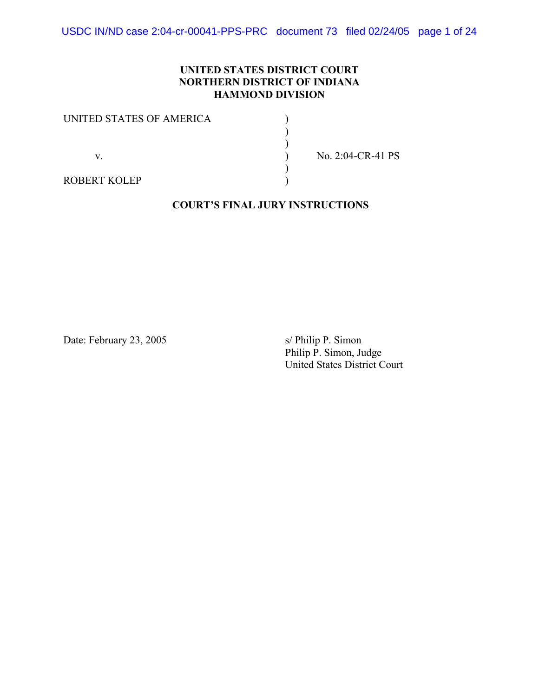USDC IN/ND case 2:04-cr-00041-PPS-PRC document 73 filed 02/24/05 page 1 of 24

### **UNITED STATES DISTRICT COURT NORTHERN DISTRICT OF INDIANA HAMMOND DIVISION**

| UNITED STATES OF AMERICA |  |
|--------------------------|--|
|                          |  |
|                          |  |
| V                        |  |
|                          |  |
| <b>ROBERT KOLEP</b>      |  |

 $\sqrt{N_0}$ . 2:04-CR-41 PS

#### **COURT'S FINAL JURY INSTRUCTIONS**

Date: February 23, 2005 S/ Philip P. Simon

Philip P. Simon, Judge United States District Court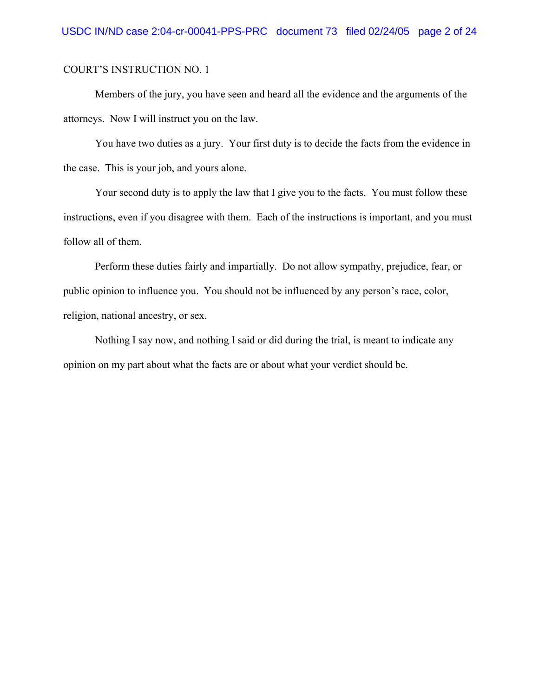Members of the jury, you have seen and heard all the evidence and the arguments of the attorneys. Now I will instruct you on the law.

You have two duties as a jury. Your first duty is to decide the facts from the evidence in the case. This is your job, and yours alone.

Your second duty is to apply the law that I give you to the facts. You must follow these instructions, even if you disagree with them. Each of the instructions is important, and you must follow all of them.

Perform these duties fairly and impartially. Do not allow sympathy, prejudice, fear, or public opinion to influence you. You should not be influenced by any person's race, color, religion, national ancestry, or sex.

Nothing I say now, and nothing I said or did during the trial, is meant to indicate any opinion on my part about what the facts are or about what your verdict should be.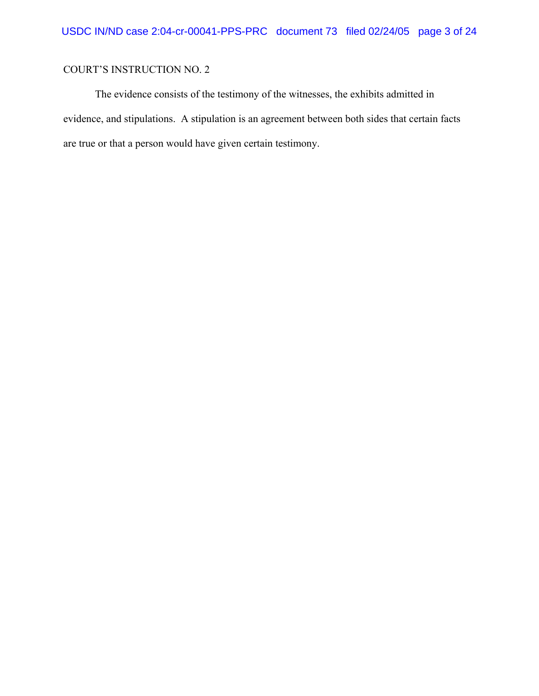The evidence consists of the testimony of the witnesses, the exhibits admitted in evidence, and stipulations. A stipulation is an agreement between both sides that certain facts are true or that a person would have given certain testimony.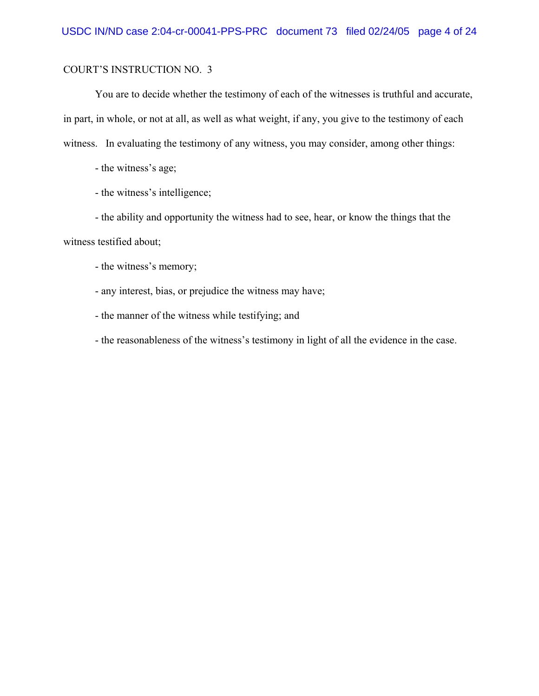You are to decide whether the testimony of each of the witnesses is truthful and accurate, in part, in whole, or not at all, as well as what weight, if any, you give to the testimony of each witness. In evaluating the testimony of any witness, you may consider, among other things:

- the witness's age;

- the witness's intelligence;

- the ability and opportunity the witness had to see, hear, or know the things that the witness testified about;

- the witness's memory;

- any interest, bias, or prejudice the witness may have;

- the manner of the witness while testifying; and

- the reasonableness of the witness's testimony in light of all the evidence in the case.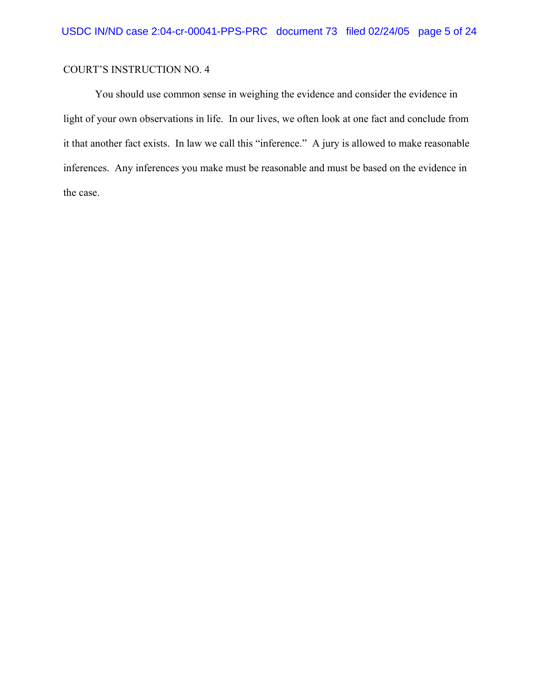You should use common sense in weighing the evidence and consider the evidence in light of your own observations in life. In our lives, we often look at one fact and conclude from it that another fact exists. In law we call this "inference." A jury is allowed to make reasonable inferences. Any inferences you make must be reasonable and must be based on the evidence in the case.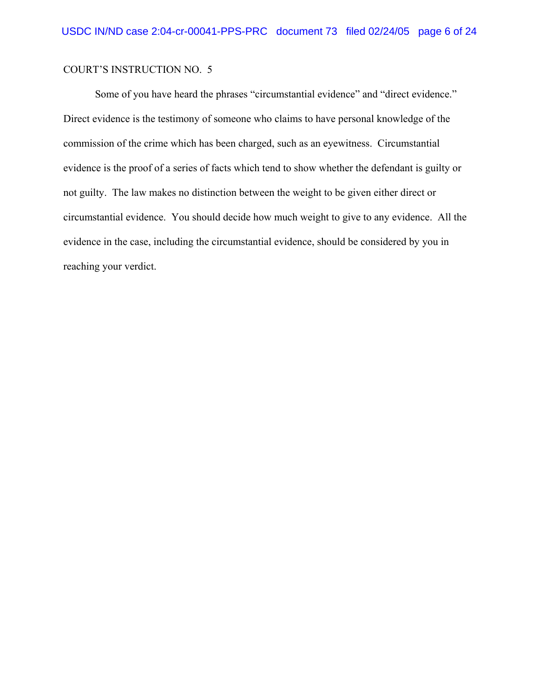Some of you have heard the phrases "circumstantial evidence" and "direct evidence." Direct evidence is the testimony of someone who claims to have personal knowledge of the commission of the crime which has been charged, such as an eyewitness. Circumstantial evidence is the proof of a series of facts which tend to show whether the defendant is guilty or not guilty. The law makes no distinction between the weight to be given either direct or circumstantial evidence. You should decide how much weight to give to any evidence. All the evidence in the case, including the circumstantial evidence, should be considered by you in reaching your verdict.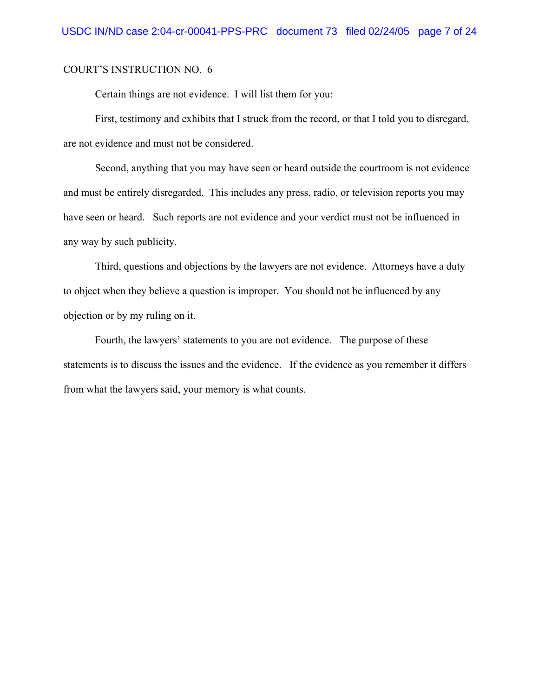Certain things are not evidence. I will list them for you:

First, testimony and exhibits that I struck from the record, or that I told you to disregard, are not evidence and must not be considered.

Second, anything that you may have seen or heard outside the courtroom is not evidence and must be entirely disregarded. This includes any press, radio, or television reports you may have seen or heard. Such reports are not evidence and your verdict must not be influenced in any way by such publicity.

Third, questions and objections by the lawyers are not evidence. Attorneys have a duty to object when they believe a question is improper. You should not be influenced by any objection or by my ruling on it.

Fourth, the lawyers' statements to you are not evidence. The purpose of these statements is to discuss the issues and the evidence. If the evidence as you remember it differs from what the lawyers said, your memory is what counts.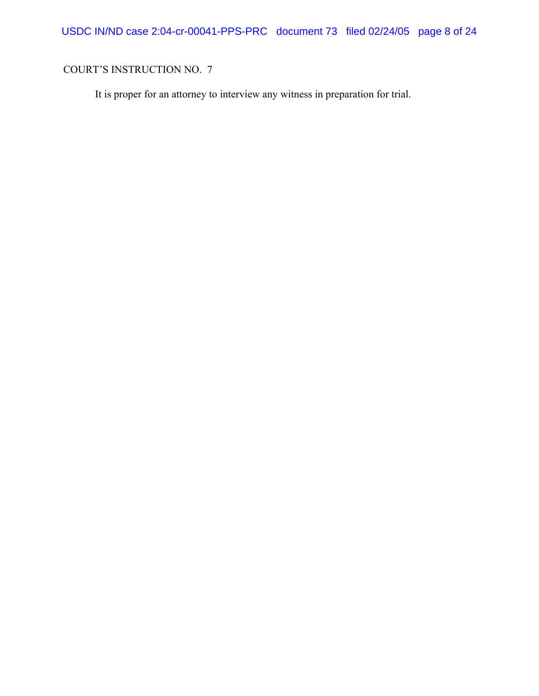USDC IN/ND case 2:04-cr-00041-PPS-PRC document 73 filed 02/24/05 page 8 of 24

# COURT'S INSTRUCTION NO. 7

It is proper for an attorney to interview any witness in preparation for trial.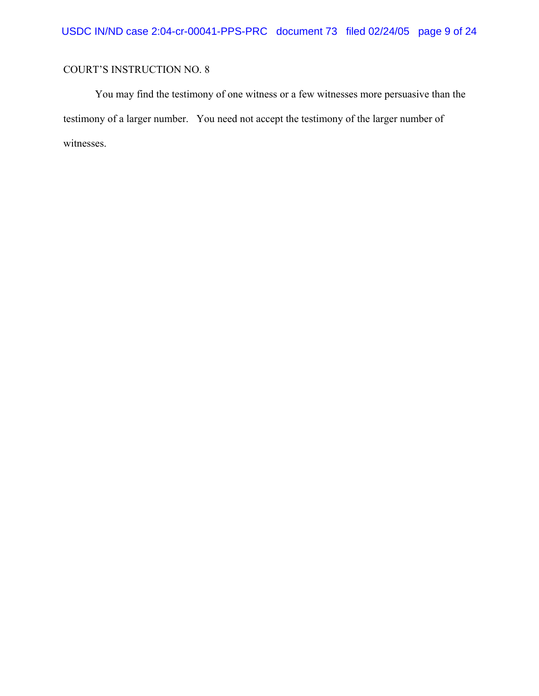You may find the testimony of one witness or a few witnesses more persuasive than the testimony of a larger number. You need not accept the testimony of the larger number of witnesses.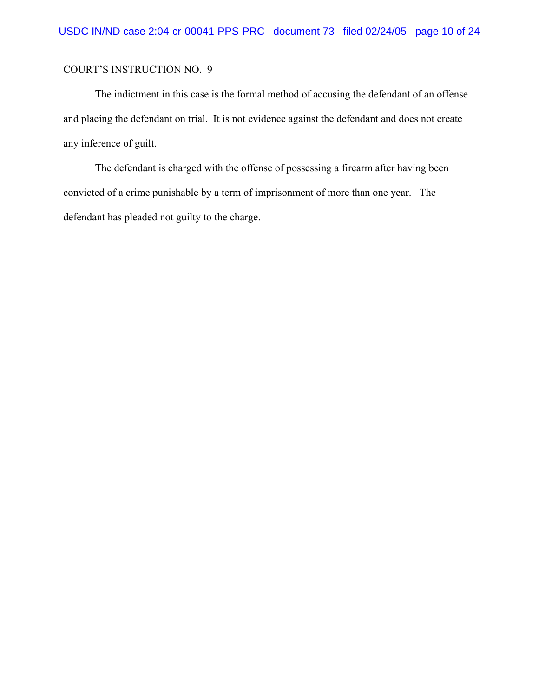The indictment in this case is the formal method of accusing the defendant of an offense and placing the defendant on trial. It is not evidence against the defendant and does not create any inference of guilt.

The defendant is charged with the offense of possessing a firearm after having been convicted of a crime punishable by a term of imprisonment of more than one year. The defendant has pleaded not guilty to the charge.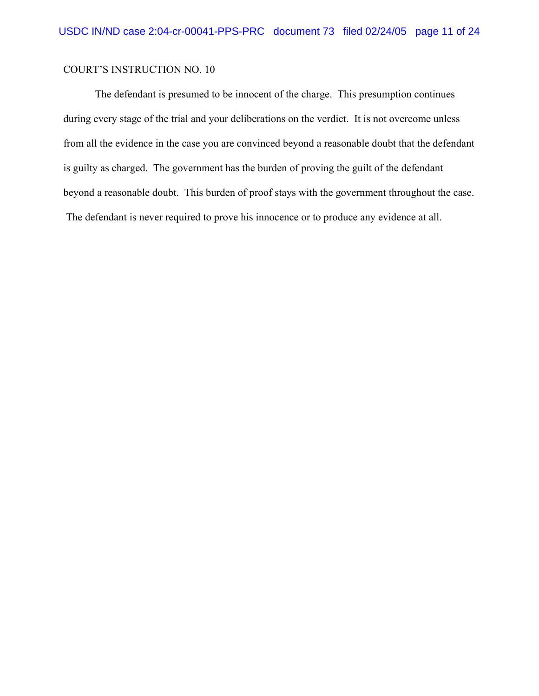The defendant is presumed to be innocent of the charge. This presumption continues during every stage of the trial and your deliberations on the verdict. It is not overcome unless from all the evidence in the case you are convinced beyond a reasonable doubt that the defendant is guilty as charged. The government has the burden of proving the guilt of the defendant beyond a reasonable doubt. This burden of proof stays with the government throughout the case. The defendant is never required to prove his innocence or to produce any evidence at all.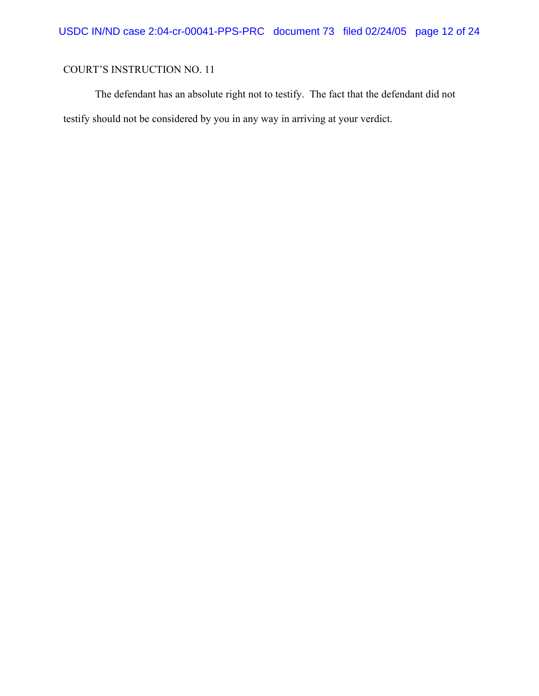The defendant has an absolute right not to testify. The fact that the defendant did not testify should not be considered by you in any way in arriving at your verdict.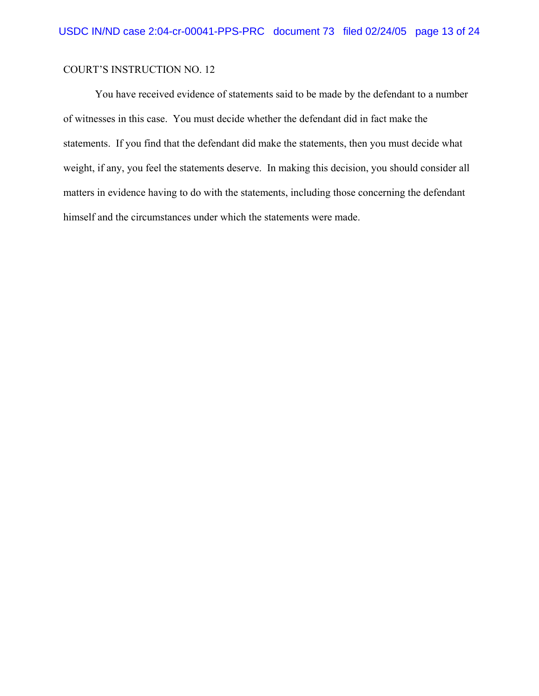You have received evidence of statements said to be made by the defendant to a number of witnesses in this case. You must decide whether the defendant did in fact make the statements. If you find that the defendant did make the statements, then you must decide what weight, if any, you feel the statements deserve. In making this decision, you should consider all matters in evidence having to do with the statements, including those concerning the defendant himself and the circumstances under which the statements were made.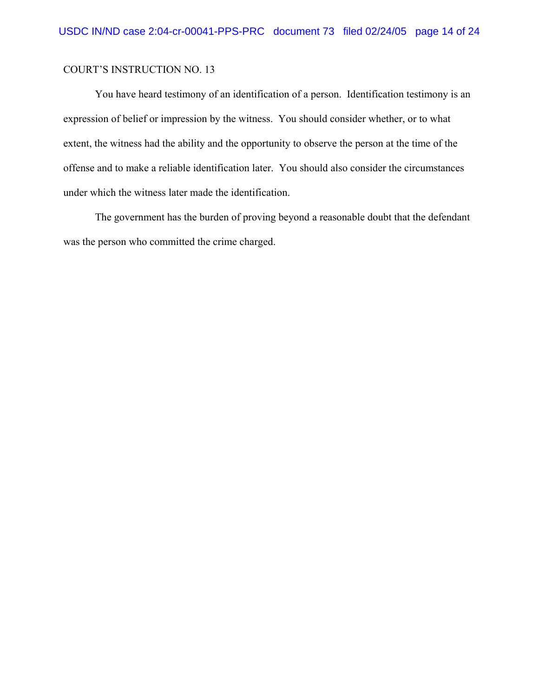You have heard testimony of an identification of a person. Identification testimony is an expression of belief or impression by the witness. You should consider whether, or to what extent, the witness had the ability and the opportunity to observe the person at the time of the offense and to make a reliable identification later. You should also consider the circumstances under which the witness later made the identification.

The government has the burden of proving beyond a reasonable doubt that the defendant was the person who committed the crime charged.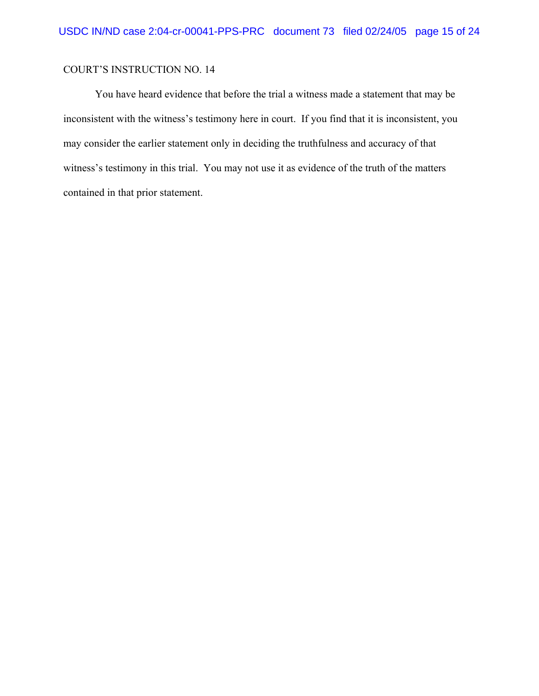You have heard evidence that before the trial a witness made a statement that may be inconsistent with the witness's testimony here in court. If you find that it is inconsistent, you may consider the earlier statement only in deciding the truthfulness and accuracy of that witness's testimony in this trial. You may not use it as evidence of the truth of the matters contained in that prior statement.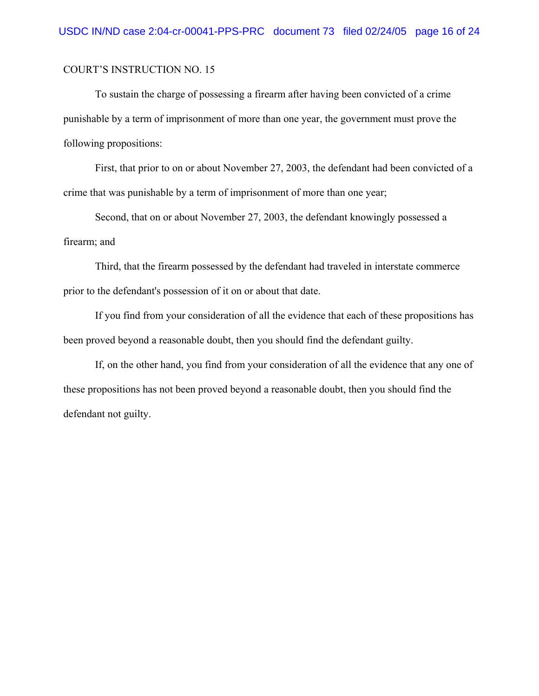To sustain the charge of possessing a firearm after having been convicted of a crime punishable by a term of imprisonment of more than one year, the government must prove the following propositions:

First, that prior to on or about November 27, 2003, the defendant had been convicted of a crime that was punishable by a term of imprisonment of more than one year;

Second, that on or about November 27, 2003, the defendant knowingly possessed a firearm; and

Third, that the firearm possessed by the defendant had traveled in interstate commerce prior to the defendant's possession of it on or about that date.

If you find from your consideration of all the evidence that each of these propositions has been proved beyond a reasonable doubt, then you should find the defendant guilty.

If, on the other hand, you find from your consideration of all the evidence that any one of these propositions has not been proved beyond a reasonable doubt, then you should find the defendant not guilty.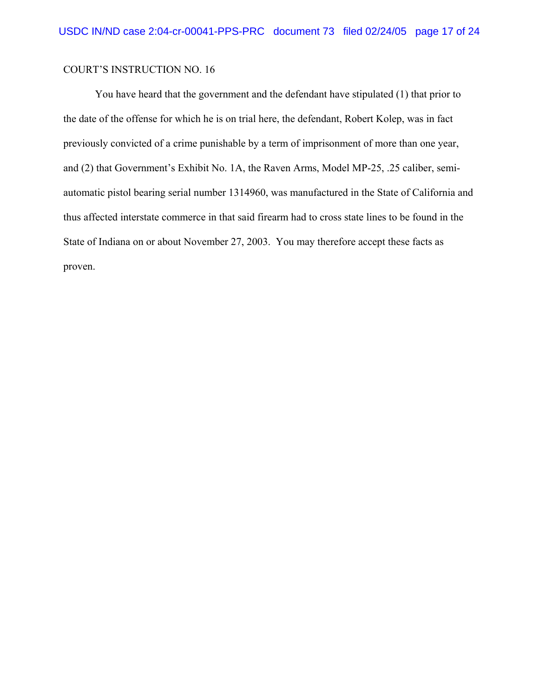You have heard that the government and the defendant have stipulated (1) that prior to the date of the offense for which he is on trial here, the defendant, Robert Kolep, was in fact previously convicted of a crime punishable by a term of imprisonment of more than one year, and (2) that Government's Exhibit No. 1A, the Raven Arms, Model MP-25, .25 caliber, semiautomatic pistol bearing serial number 1314960, was manufactured in the State of California and thus affected interstate commerce in that said firearm had to cross state lines to be found in the State of Indiana on or about November 27, 2003. You may therefore accept these facts as proven.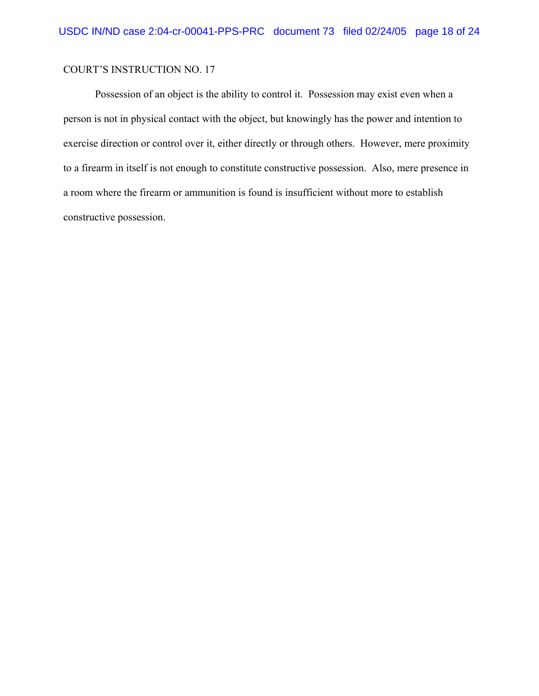Possession of an object is the ability to control it. Possession may exist even when a person is not in physical contact with the object, but knowingly has the power and intention to exercise direction or control over it, either directly or through others. However, mere proximity to a firearm in itself is not enough to constitute constructive possession. Also, mere presence in a room where the firearm or ammunition is found is insufficient without more to establish constructive possession.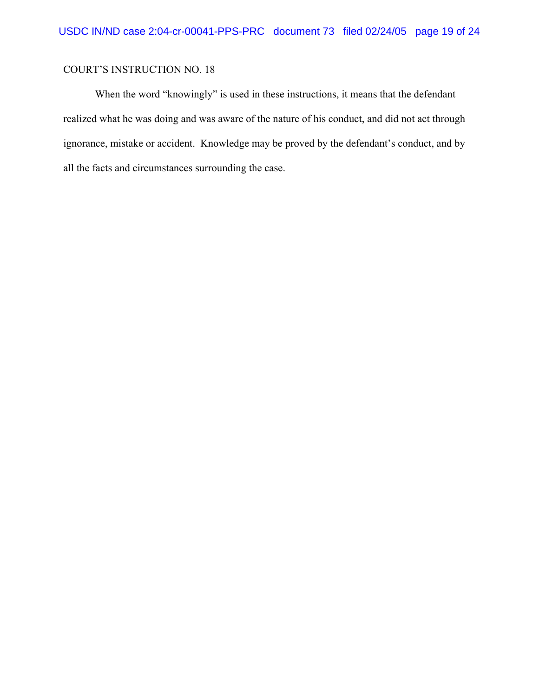When the word "knowingly" is used in these instructions, it means that the defendant realized what he was doing and was aware of the nature of his conduct, and did not act through ignorance, mistake or accident. Knowledge may be proved by the defendant's conduct, and by all the facts and circumstances surrounding the case.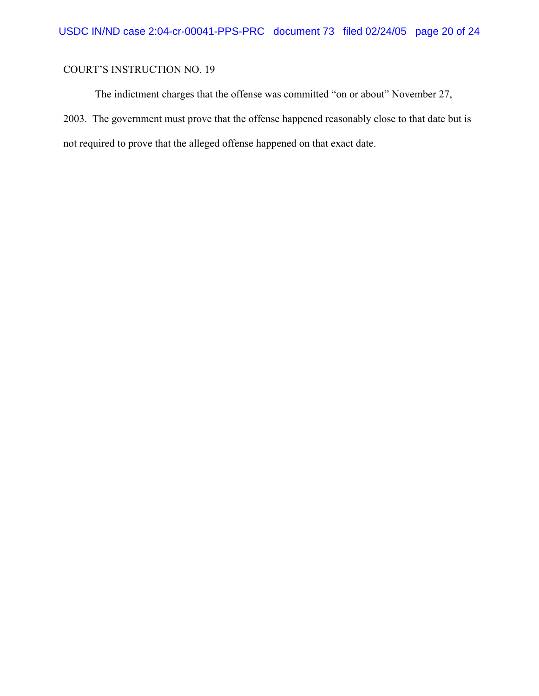The indictment charges that the offense was committed "on or about" November 27, 2003. The government must prove that the offense happened reasonably close to that date but is not required to prove that the alleged offense happened on that exact date.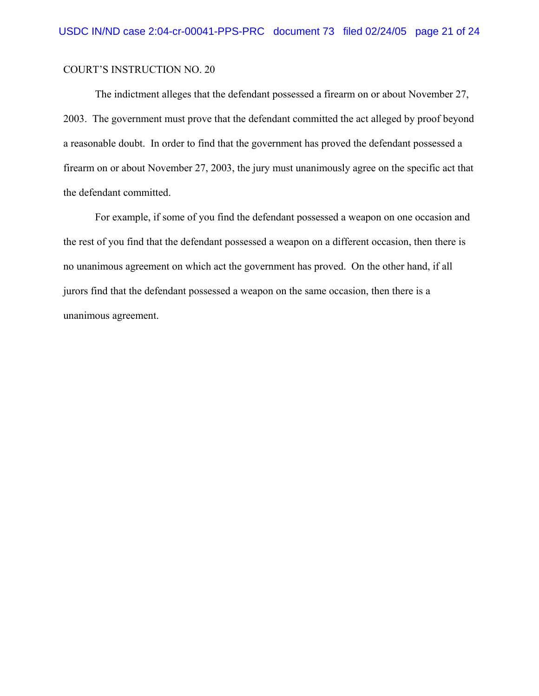The indictment alleges that the defendant possessed a firearm on or about November 27, 2003. The government must prove that the defendant committed the act alleged by proof beyond a reasonable doubt. In order to find that the government has proved the defendant possessed a firearm on or about November 27, 2003, the jury must unanimously agree on the specific act that the defendant committed.

For example, if some of you find the defendant possessed a weapon on one occasion and the rest of you find that the defendant possessed a weapon on a different occasion, then there is no unanimous agreement on which act the government has proved. On the other hand, if all jurors find that the defendant possessed a weapon on the same occasion, then there is a unanimous agreement.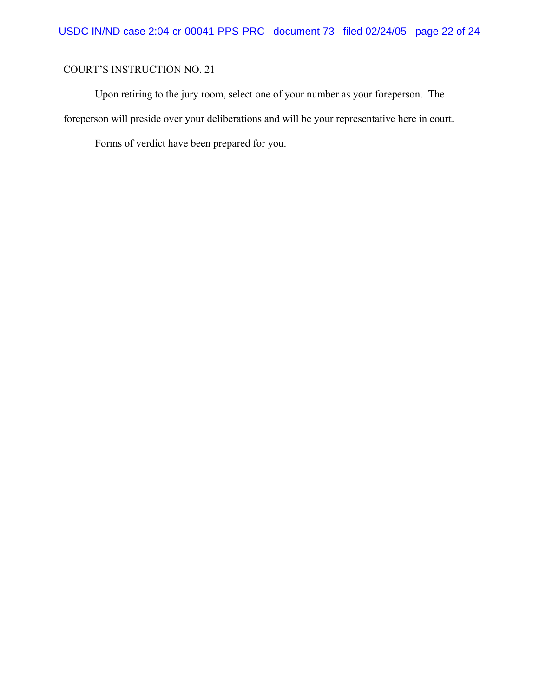Upon retiring to the jury room, select one of your number as your foreperson. The foreperson will preside over your deliberations and will be your representative here in court.

Forms of verdict have been prepared for you.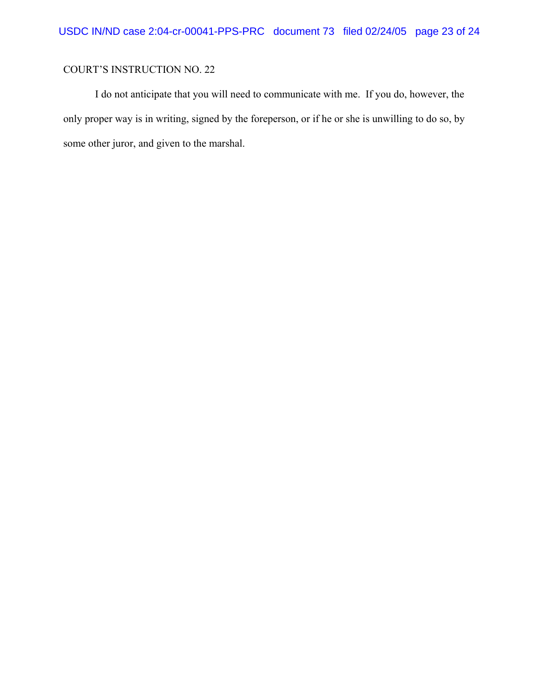I do not anticipate that you will need to communicate with me. If you do, however, the only proper way is in writing, signed by the foreperson, or if he or she is unwilling to do so, by some other juror, and given to the marshal.